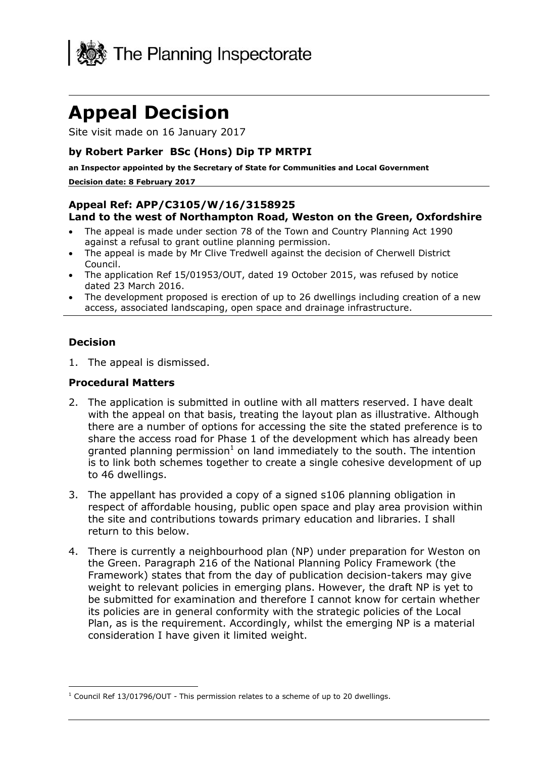

# **Appeal Decision**

Site visit made on 16 January 2017

# **by Robert Parker BSc (Hons) Dip TP MRTPI**

**an Inspector appointed by the Secretary of State for Communities and Local Government**

#### **Decision date: 8 February 2017**

# **Appeal Ref: APP/C3105/W/16/3158925 Land to the west of Northampton Road, Weston on the Green, Oxfordshire**

- The appeal is made under section 78 of the Town and Country Planning Act 1990 against a refusal to grant outline planning permission.
- The appeal is made by Mr Clive Tredwell against the decision of Cherwell District Council.
- The application Ref 15/01953/OUT, dated 19 October 2015, was refused by notice dated 23 March 2016.
- The development proposed is erection of up to 26 dwellings including creation of a new access, associated landscaping, open space and drainage infrastructure.

#### **Decision**

1. The appeal is dismissed.

#### **Procedural Matters**

- 2. The application is submitted in outline with all matters reserved. I have dealt with the appeal on that basis, treating the layout plan as illustrative. Although there are a number of options for accessing the site the stated preference is to share the access road for Phase 1 of the development which has already been granted planning permission<sup>1</sup> on land immediately to the south. The intention is to link both schemes together to create a single cohesive development of up to 46 dwellings.
- 3. The appellant has provided a copy of a signed s106 planning obligation in respect of affordable housing, public open space and play area provision within the site and contributions towards primary education and libraries. I shall return to this below.
- 4. There is currently a neighbourhood plan (NP) under preparation for Weston on the Green. Paragraph 216 of the National Planning Policy Framework (the Framework) states that from the day of publication decision-takers may give weight to relevant policies in emerging plans. However, the draft NP is yet to be submitted for examination and therefore I cannot know for certain whether its policies are in general conformity with the strategic policies of the Local Plan, as is the requirement. Accordingly, whilst the emerging NP is a material consideration I have given it limited weight.

j  $1$  Council Ref 13/01796/OUT - This permission relates to a scheme of up to 20 dwellings.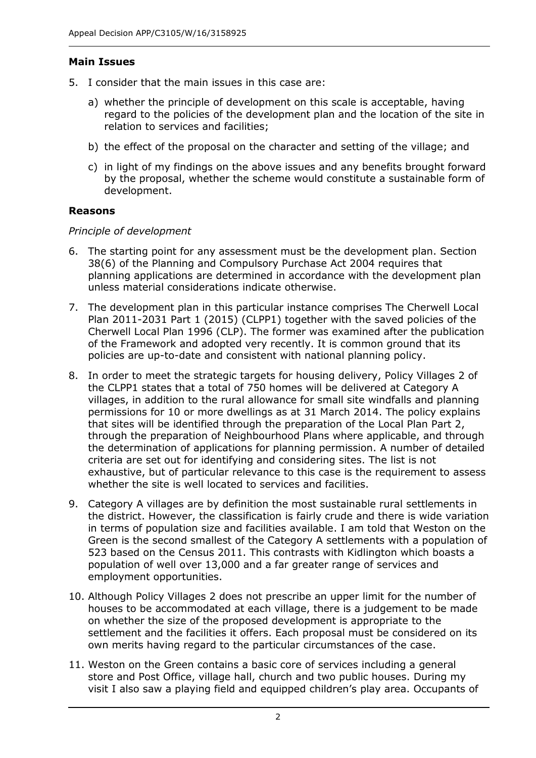# **Main Issues**

- 5. I consider that the main issues in this case are:
	- a) whether the principle of development on this scale is acceptable, having regard to the policies of the development plan and the location of the site in relation to services and facilities;
	- b) the effect of the proposal on the character and setting of the village; and
	- c) in light of my findings on the above issues and any benefits brought forward by the proposal, whether the scheme would constitute a sustainable form of development.

### **Reasons**

#### *Principle of development*

- 6. The starting point for any assessment must be the development plan. Section 38(6) of the Planning and Compulsory Purchase Act 2004 requires that planning applications are determined in accordance with the development plan unless material considerations indicate otherwise.
- 7. The development plan in this particular instance comprises The Cherwell Local Plan 2011-2031 Part 1 (2015) (CLPP1) together with the saved policies of the Cherwell Local Plan 1996 (CLP). The former was examined after the publication of the Framework and adopted very recently. It is common ground that its policies are up-to-date and consistent with national planning policy.
- 8. In order to meet the strategic targets for housing delivery, Policy Villages 2 of the CLPP1 states that a total of 750 homes will be delivered at Category A villages, in addition to the rural allowance for small site windfalls and planning permissions for 10 or more dwellings as at 31 March 2014. The policy explains that sites will be identified through the preparation of the Local Plan Part 2, through the preparation of Neighbourhood Plans where applicable, and through the determination of applications for planning permission. A number of detailed criteria are set out for identifying and considering sites. The list is not exhaustive, but of particular relevance to this case is the requirement to assess whether the site is well located to services and facilities.
- 9. Category A villages are by definition the most sustainable rural settlements in the district. However, the classification is fairly crude and there is wide variation in terms of population size and facilities available. I am told that Weston on the Green is the second smallest of the Category A settlements with a population of 523 based on the Census 2011. This contrasts with Kidlington which boasts a population of well over 13,000 and a far greater range of services and employment opportunities.
- 10. Although Policy Villages 2 does not prescribe an upper limit for the number of houses to be accommodated at each village, there is a judgement to be made on whether the size of the proposed development is appropriate to the settlement and the facilities it offers. Each proposal must be considered on its own merits having regard to the particular circumstances of the case.
- 11. Weston on the Green contains a basic core of services including a general store and Post Office, village hall, church and two public houses. During my visit I also saw a playing field and equipped children's play area. Occupants of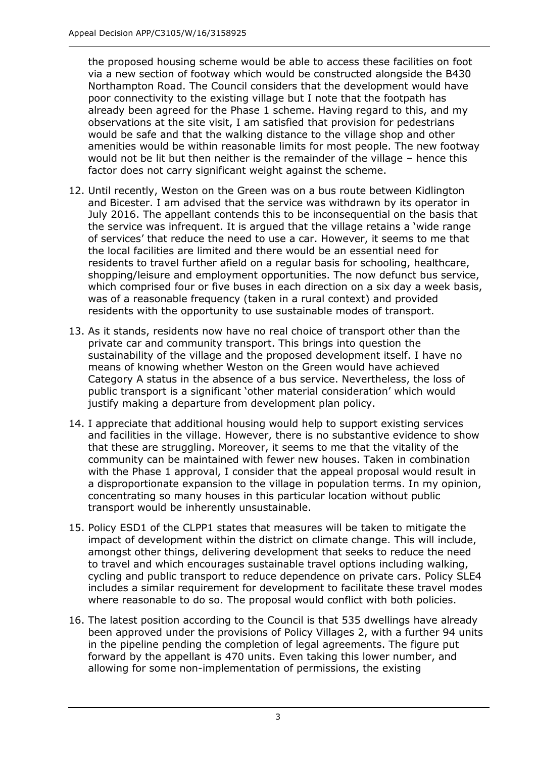the proposed housing scheme would be able to access these facilities on foot via a new section of footway which would be constructed alongside the B430 Northampton Road. The Council considers that the development would have poor connectivity to the existing village but I note that the footpath has already been agreed for the Phase 1 scheme. Having regard to this, and my observations at the site visit, I am satisfied that provision for pedestrians would be safe and that the walking distance to the village shop and other amenities would be within reasonable limits for most people. The new footway would not be lit but then neither is the remainder of the village – hence this factor does not carry significant weight against the scheme.

- 12. Until recently, Weston on the Green was on a bus route between Kidlington and Bicester. I am advised that the service was withdrawn by its operator in July 2016. The appellant contends this to be inconsequential on the basis that the service was infrequent. It is argued that the village retains a 'wide range of services' that reduce the need to use a car. However, it seems to me that the local facilities are limited and there would be an essential need for residents to travel further afield on a regular basis for schooling, healthcare, shopping/leisure and employment opportunities. The now defunct bus service, which comprised four or five buses in each direction on a six day a week basis, was of a reasonable frequency (taken in a rural context) and provided residents with the opportunity to use sustainable modes of transport.
- 13. As it stands, residents now have no real choice of transport other than the private car and community transport. This brings into question the sustainability of the village and the proposed development itself. I have no means of knowing whether Weston on the Green would have achieved Category A status in the absence of a bus service. Nevertheless, the loss of public transport is a significant 'other material consideration' which would justify making a departure from development plan policy.
- 14. I appreciate that additional housing would help to support existing services and facilities in the village. However, there is no substantive evidence to show that these are struggling. Moreover, it seems to me that the vitality of the community can be maintained with fewer new houses. Taken in combination with the Phase 1 approval, I consider that the appeal proposal would result in a disproportionate expansion to the village in population terms. In my opinion, concentrating so many houses in this particular location without public transport would be inherently unsustainable.
- 15. Policy ESD1 of the CLPP1 states that measures will be taken to mitigate the impact of development within the district on climate change. This will include, amongst other things, delivering development that seeks to reduce the need to travel and which encourages sustainable travel options including walking, cycling and public transport to reduce dependence on private cars. Policy SLE4 includes a similar requirement for development to facilitate these travel modes where reasonable to do so. The proposal would conflict with both policies.
- 16. The latest position according to the Council is that 535 dwellings have already been approved under the provisions of Policy Villages 2, with a further 94 units in the pipeline pending the completion of legal agreements. The figure put forward by the appellant is 470 units. Even taking this lower number, and allowing for some non-implementation of permissions, the existing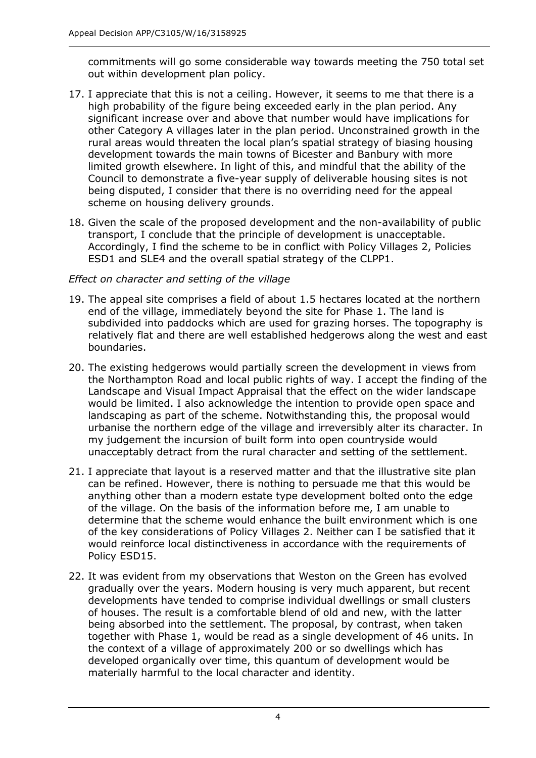commitments will go some considerable way towards meeting the 750 total set out within development plan policy.

- 17. I appreciate that this is not a ceiling. However, it seems to me that there is a high probability of the figure being exceeded early in the plan period. Any significant increase over and above that number would have implications for other Category A villages later in the plan period. Unconstrained growth in the rural areas would threaten the local plan's spatial strategy of biasing housing development towards the main towns of Bicester and Banbury with more limited growth elsewhere. In light of this, and mindful that the ability of the Council to demonstrate a five-year supply of deliverable housing sites is not being disputed, I consider that there is no overriding need for the appeal scheme on housing delivery grounds.
- 18. Given the scale of the proposed development and the non-availability of public transport, I conclude that the principle of development is unacceptable. Accordingly, I find the scheme to be in conflict with Policy Villages 2, Policies ESD1 and SLE4 and the overall spatial strategy of the CLPP1.

# *Effect on character and setting of the village*

- 19. The appeal site comprises a field of about 1.5 hectares located at the northern end of the village, immediately beyond the site for Phase 1. The land is subdivided into paddocks which are used for grazing horses. The topography is relatively flat and there are well established hedgerows along the west and east boundaries.
- 20. The existing hedgerows would partially screen the development in views from the Northampton Road and local public rights of way. I accept the finding of the Landscape and Visual Impact Appraisal that the effect on the wider landscape would be limited. I also acknowledge the intention to provide open space and landscaping as part of the scheme. Notwithstanding this, the proposal would urbanise the northern edge of the village and irreversibly alter its character. In my judgement the incursion of built form into open countryside would unacceptably detract from the rural character and setting of the settlement.
- 21. I appreciate that layout is a reserved matter and that the illustrative site plan can be refined. However, there is nothing to persuade me that this would be anything other than a modern estate type development bolted onto the edge of the village. On the basis of the information before me, I am unable to determine that the scheme would enhance the built environment which is one of the key considerations of Policy Villages 2. Neither can I be satisfied that it would reinforce local distinctiveness in accordance with the requirements of Policy ESD15.
- 22. It was evident from my observations that Weston on the Green has evolved gradually over the years. Modern housing is very much apparent, but recent developments have tended to comprise individual dwellings or small clusters of houses. The result is a comfortable blend of old and new, with the latter being absorbed into the settlement. The proposal, by contrast, when taken together with Phase 1, would be read as a single development of 46 units. In the context of a village of approximately 200 or so dwellings which has developed organically over time, this quantum of development would be materially harmful to the local character and identity.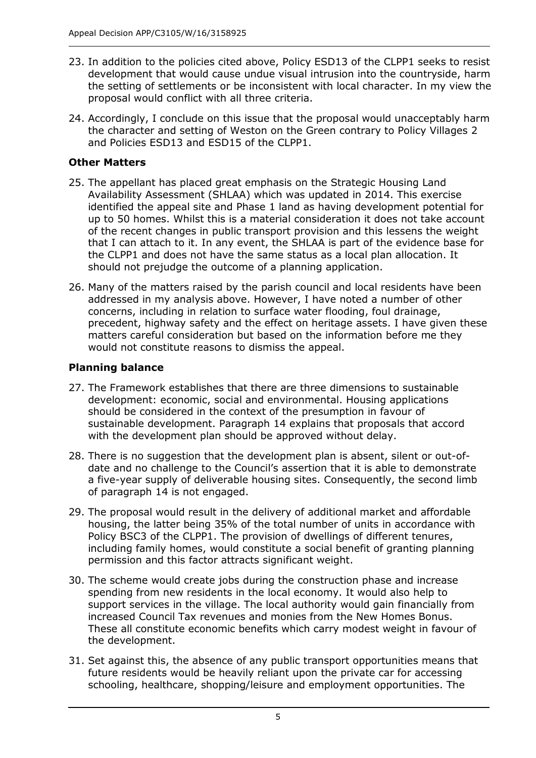- 23. In addition to the policies cited above, Policy ESD13 of the CLPP1 seeks to resist development that would cause undue visual intrusion into the countryside, harm the setting of settlements or be inconsistent with local character. In my view the proposal would conflict with all three criteria.
- 24. Accordingly, I conclude on this issue that the proposal would unacceptably harm the character and setting of Weston on the Green contrary to Policy Villages 2 and Policies ESD13 and ESD15 of the CLPP1.

# **Other Matters**

- 25. The appellant has placed great emphasis on the Strategic Housing Land Availability Assessment (SHLAA) which was updated in 2014. This exercise identified the appeal site and Phase 1 land as having development potential for up to 50 homes. Whilst this is a material consideration it does not take account of the recent changes in public transport provision and this lessens the weight that I can attach to it. In any event, the SHLAA is part of the evidence base for the CLPP1 and does not have the same status as a local plan allocation. It should not prejudge the outcome of a planning application.
- 26. Many of the matters raised by the parish council and local residents have been addressed in my analysis above. However, I have noted a number of other concerns, including in relation to surface water flooding, foul drainage, precedent, highway safety and the effect on heritage assets. I have given these matters careful consideration but based on the information before me they would not constitute reasons to dismiss the appeal.

# **Planning balance**

- 27. The Framework establishes that there are three dimensions to sustainable development: economic, social and environmental. Housing applications should be considered in the context of the presumption in favour of sustainable development. Paragraph 14 explains that proposals that accord with the development plan should be approved without delay.
- 28. There is no suggestion that the development plan is absent, silent or out-ofdate and no challenge to the Council's assertion that it is able to demonstrate a five-year supply of deliverable housing sites. Consequently, the second limb of paragraph 14 is not engaged.
- 29. The proposal would result in the delivery of additional market and affordable housing, the latter being 35% of the total number of units in accordance with Policy BSC3 of the CLPP1. The provision of dwellings of different tenures, including family homes, would constitute a social benefit of granting planning permission and this factor attracts significant weight.
- 30. The scheme would create jobs during the construction phase and increase spending from new residents in the local economy. It would also help to support services in the village. The local authority would gain financially from increased Council Tax revenues and monies from the New Homes Bonus. These all constitute economic benefits which carry modest weight in favour of the development.
- 31. Set against this, the absence of any public transport opportunities means that future residents would be heavily reliant upon the private car for accessing schooling, healthcare, shopping/leisure and employment opportunities. The